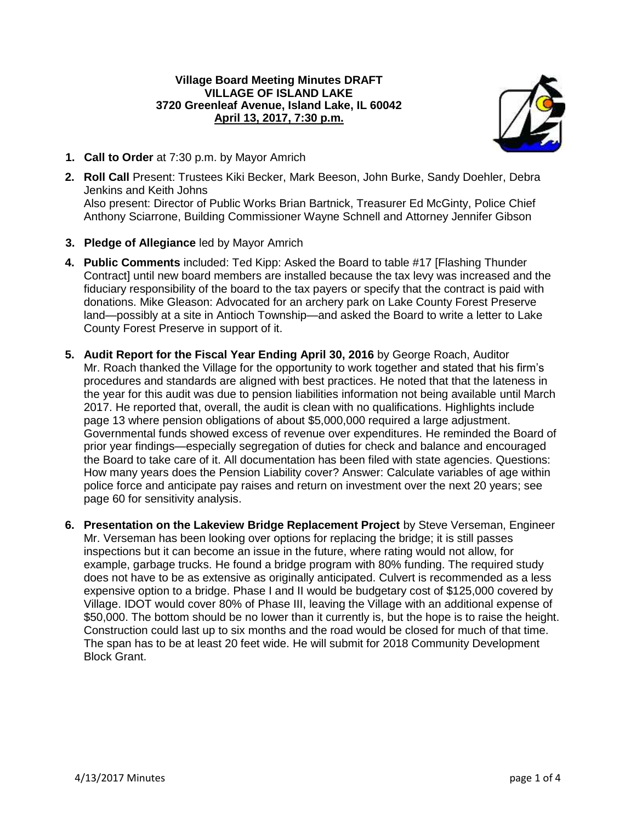# **Village Board Meeting Minutes DRAFT VILLAGE OF ISLAND LAKE 3720 Greenleaf Avenue, Island Lake, IL 60042 April 13, 2017, 7:30 p.m.**



- **1. Call to Order** at 7:30 p.m. by Mayor Amrich
- **2. Roll Call** Present: Trustees Kiki Becker, Mark Beeson, John Burke, Sandy Doehler, Debra Jenkins and Keith Johns Also present: Director of Public Works Brian Bartnick, Treasurer Ed McGinty, Police Chief Anthony Sciarrone, Building Commissioner Wayne Schnell and Attorney Jennifer Gibson
- **3. Pledge of Allegiance** led by Mayor Amrich
- **4. Public Comments** included: Ted Kipp: Asked the Board to table #17 [Flashing Thunder Contract] until new board members are installed because the tax levy was increased and the fiduciary responsibility of the board to the tax payers or specify that the contract is paid with donations. Mike Gleason: Advocated for an archery park on Lake County Forest Preserve land—possibly at a site in Antioch Township—and asked the Board to write a letter to Lake County Forest Preserve in support of it.
- **5. Audit Report for the Fiscal Year Ending April 30, 2016** by George Roach, Auditor Mr. Roach thanked the Village for the opportunity to work together and stated that his firm's procedures and standards are aligned with best practices. He noted that that the lateness in the year for this audit was due to pension liabilities information not being available until March 2017. He reported that, overall, the audit is clean with no qualifications. Highlights include page 13 where pension obligations of about \$5,000,000 required a large adjustment. Governmental funds showed excess of revenue over expenditures. He reminded the Board of prior year findings—especially segregation of duties for check and balance and encouraged the Board to take care of it. All documentation has been filed with state agencies. Questions: How many years does the Pension Liability cover? Answer: Calculate variables of age within police force and anticipate pay raises and return on investment over the next 20 years; see page 60 for sensitivity analysis.
- **6. Presentation on the Lakeview Bridge Replacement Project** by Steve Verseman, Engineer Mr. Verseman has been looking over options for replacing the bridge; it is still passes inspections but it can become an issue in the future, where rating would not allow, for example, garbage trucks. He found a bridge program with 80% funding. The required study does not have to be as extensive as originally anticipated. Culvert is recommended as a less expensive option to a bridge. Phase I and II would be budgetary cost of \$125,000 covered by Village. IDOT would cover 80% of Phase III, leaving the Village with an additional expense of \$50,000. The bottom should be no lower than it currently is, but the hope is to raise the height. Construction could last up to six months and the road would be closed for much of that time. The span has to be at least 20 feet wide. He will submit for 2018 Community Development Block Grant.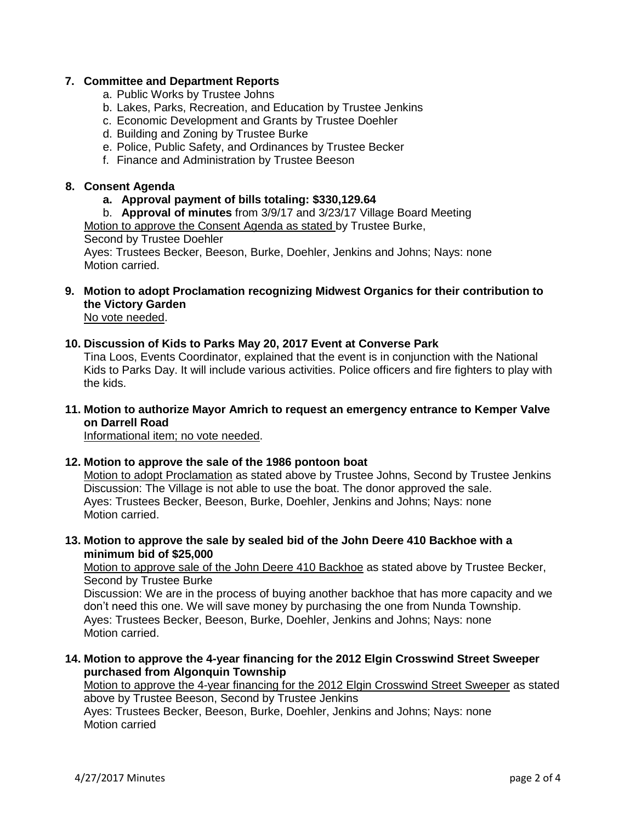# **7. Committee and Department Reports**

- a. Public Works by Trustee Johns
- b. Lakes, Parks, Recreation, and Education by Trustee Jenkins
- c. Economic Development and Grants by Trustee Doehler
- d. Building and Zoning by Trustee Burke
- e. Police, Public Safety, and Ordinances by Trustee Becker
- f. Finance and Administration by Trustee Beeson

# **8. Consent Agenda**

**a. Approval payment of bills totaling: \$330,129.64**

b. **Approval of minutes** from 3/9/17 and 3/23/17 Village Board Meeting Motion to approve the Consent Agenda as stated by Trustee Burke, Second by Trustee Doehler

Ayes: Trustees Becker, Beeson, Burke, Doehler, Jenkins and Johns; Nays: none Motion carried.

**9. Motion to adopt Proclamation recognizing Midwest Organics for their contribution to the Victory Garden**

No vote needed.

### **10. Discussion of Kids to Parks May 20, 2017 Event at Converse Park**

Tina Loos, Events Coordinator, explained that the event is in conjunction with the National Kids to Parks Day. It will include various activities. Police officers and fire fighters to play with the kids.

**11. Motion to authorize Mayor Amrich to request an emergency entrance to Kemper Valve on Darrell Road**

Informational item; no vote needed.

### **12. Motion to approve the sale of the 1986 pontoon boat**

Motion to adopt Proclamation as stated above by Trustee Johns, Second by Trustee Jenkins Discussion: The Village is not able to use the boat. The donor approved the sale. Ayes: Trustees Becker, Beeson, Burke, Doehler, Jenkins and Johns; Nays: none Motion carried.

**13. Motion to approve the sale by sealed bid of the John Deere 410 Backhoe with a minimum bid of \$25,000**

Motion to approve sale of the John Deere 410 Backhoe as stated above by Trustee Becker, Second by Trustee Burke

Discussion: We are in the process of buying another backhoe that has more capacity and we don't need this one. We will save money by purchasing the one from Nunda Township. Ayes: Trustees Becker, Beeson, Burke, Doehler, Jenkins and Johns; Nays: none Motion carried.

**14. Motion to approve the 4-year financing for the 2012 Elgin Crosswind Street Sweeper purchased from Algonquin Township**

Motion to approve the 4-year financing for the 2012 Elgin Crosswind Street Sweeper as stated above by Trustee Beeson, Second by Trustee Jenkins Ayes: Trustees Becker, Beeson, Burke, Doehler, Jenkins and Johns; Nays: none

Motion carried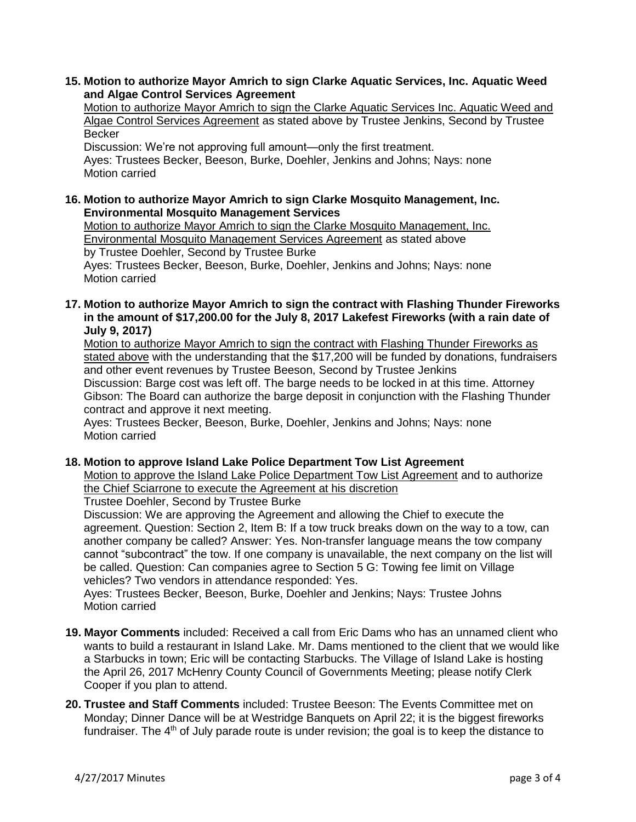**15. Motion to authorize Mayor Amrich to sign Clarke Aquatic Services, Inc. Aquatic Weed and Algae Control Services Agreement**

Motion to authorize Mayor Amrich to sign the Clarke Aquatic Services Inc. Aquatic Weed and Algae Control Services Agreement as stated above by Trustee Jenkins, Second by Trustee Becker

Discussion: We're not approving full amount—only the first treatment. Ayes: Trustees Becker, Beeson, Burke, Doehler, Jenkins and Johns; Nays: none Motion carried

**16. Motion to authorize Mayor Amrich to sign Clarke Mosquito Management, Inc. Environmental Mosquito Management Services**

Motion to authorize Mayor Amrich to sign the Clarke Mosquito Management, Inc. Environmental Mosquito Management Services Agreement as stated above by Trustee Doehler, Second by Trustee Burke Ayes: Trustees Becker, Beeson, Burke, Doehler, Jenkins and Johns; Nays: none Motion carried

**17. Motion to authorize Mayor Amrich to sign the contract with Flashing Thunder Fireworks in the amount of \$17,200.00 for the July 8, 2017 Lakefest Fireworks (with a rain date of July 9, 2017)**

Motion to authorize Mayor Amrich to sign the contract with Flashing Thunder Fireworks as stated above with the understanding that the \$17,200 will be funded by donations, fundraisers and other event revenues by Trustee Beeson, Second by Trustee Jenkins Discussion: Barge cost was left off. The barge needs to be locked in at this time. Attorney Gibson: The Board can authorize the barge deposit in conjunction with the Flashing Thunder contract and approve it next meeting.

Ayes: Trustees Becker, Beeson, Burke, Doehler, Jenkins and Johns; Nays: none Motion carried

# **18. Motion to approve Island Lake Police Department Tow List Agreement**

Motion to approve the Island Lake Police Department Tow List Agreement and to authorize the Chief Sciarrone to execute the Agreement at his discretion

Trustee Doehler, Second by Trustee Burke

Discussion: We are approving the Agreement and allowing the Chief to execute the agreement. Question: Section 2, Item B: If a tow truck breaks down on the way to a tow, can another company be called? Answer: Yes. Non-transfer language means the tow company cannot "subcontract" the tow. If one company is unavailable, the next company on the list will be called. Question: Can companies agree to Section 5 G: Towing fee limit on Village vehicles? Two vendors in attendance responded: Yes.

Ayes: Trustees Becker, Beeson, Burke, Doehler and Jenkins; Nays: Trustee Johns Motion carried

- **19. Mayor Comments** included: Received a call from Eric Dams who has an unnamed client who wants to build a restaurant in Island Lake. Mr. Dams mentioned to the client that we would like a Starbucks in town; Eric will be contacting Starbucks. The Village of Island Lake is hosting the April 26, 2017 McHenry County Council of Governments Meeting; please notify Clerk Cooper if you plan to attend.
- **20. Trustee and Staff Comments** included: Trustee Beeson: The Events Committee met on Monday; Dinner Dance will be at Westridge Banquets on April 22; it is the biggest fireworks fundraiser. The  $4<sup>th</sup>$  of July parade route is under revision; the goal is to keep the distance to